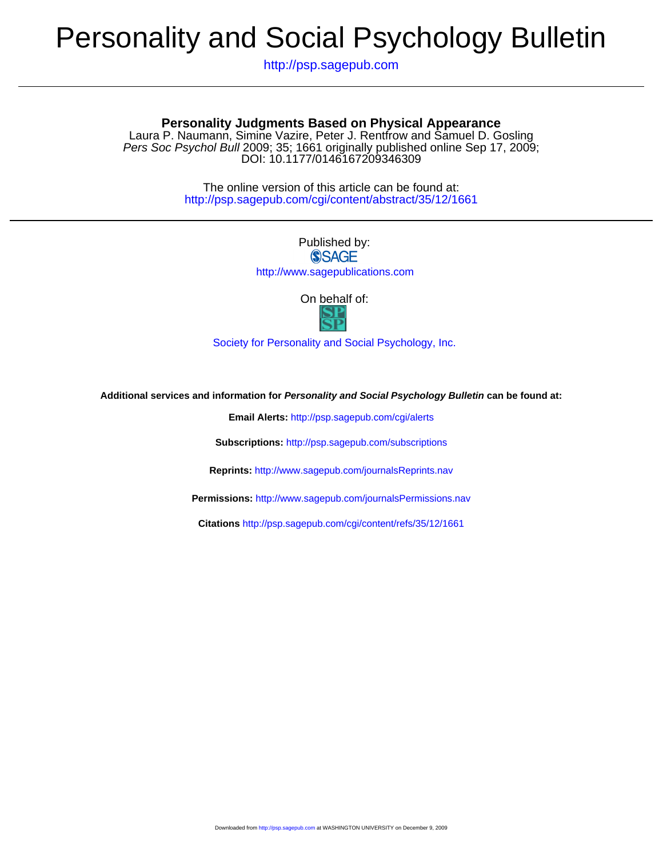# Personality and Social Psychology Bulletin

http://psp.sagepub.com

# **Personality Judgments Based on Physical Appearance**

DOI: 10.1177/0146167209346309 Pers Soc Psychol Bull 2009; 35; 1661 originally published online Sep 17, 2009; Laura P. Naumann, Simine Vazire, Peter J. Rentfrow and Samuel D. Gosling

> http://psp.sagepub.com/cgi/content/abstract/35/12/1661 The online version of this article can be found at:

# Published by: **SSAGE**

http://www.sagepublications.com

On behalf of:



[Society for Personality and Social Psychology, Inc.](http://www.spsp.org/)

**Additional services and information for Personality and Social Psychology Bulletin can be found at:**

**Email Alerts:** <http://psp.sagepub.com/cgi/alerts>

**Subscriptions:** <http://psp.sagepub.com/subscriptions>

**Reprints:** <http://www.sagepub.com/journalsReprints.nav>

**Permissions:** <http://www.sagepub.com/journalsPermissions.nav>

**Citations** <http://psp.sagepub.com/cgi/content/refs/35/12/1661>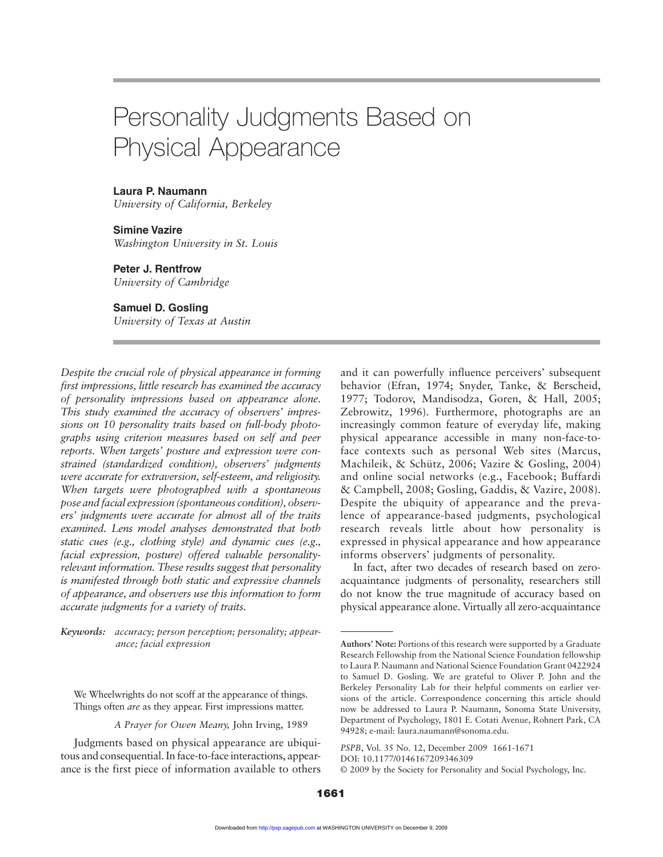# Personality Judgments Based on Physical Appearance

#### **Laura P. Naumann**

*University of California, Berkeley*

#### **Simine Vazire**

*Washington University in St. Louis*

#### **Peter J. Rentfrow**

*University of Cambridge*

#### **Samuel D. Gosling**

*University of Texas at Austin*

*Despite the crucial role of physical appearance in forming first impressions, little research has examined the accuracy of personality impressions based on appearance alone. This study examined the accuracy of observers' impressions on 10 personality traits based on full-body photographs using criterion measures based on self and peer reports. When targets' posture and expression were constrained (standardized condition), observers' judgments were accurate for extraversion, self-esteem, and religiosity. When targets were photographed with a spontaneous pose and facial expression (spontaneous condition), observers' judgments were accurate for almost all of the traits examined. Lens model analyses demonstrated that both static cues (e.g., clothing style) and dynamic cues (e.g., facial expression, posture) offered valuable personalityrelevant information. These results suggest that personality is manifested through both static and expressive channels of appearance, and observers use this information to form accurate judgments for a variety of traits.*

*Keywords: accuracy; person perception; personality; appearance; facial expression*

We Wheelwrights do not scoff at the appearance of things. Things often *are* as they appear. First impressions matter.

*A Prayer for Owen Meany,* John Irving, 1989

Judgments based on physical appearance are ubiquitous and consequential. In face-to-face interactions, appearance is the first piece of information available to others and it can powerfully influence perceivers' subsequent behavior (Efran, 1974; Snyder, Tanke, & Berscheid, 1977; Todorov, Mandisodza, Goren, & Hall, 2005; Zebrowitz, 1996). Furthermore, photographs are an increasingly common feature of everyday life, making physical appearance accessible in many non-face-toface contexts such as personal Web sites (Marcus, Machileik, & Schütz, 2006; Vazire & Gosling, 2004) and online social networks (e.g., Facebook; Buffardi & Campbell, 2008; Gosling, Gaddis, & Vazire, 2008). Despite the ubiquity of appearance and the prevalence of appearance-based judgments, psychological research reveals little about how personality is expressed in physical appearance and how appearance informs observers' judgments of personality.

In fact, after two decades of research based on zeroacquaintance judgments of personality, researchers still do not know the true magnitude of accuracy based on physical appearance alone. Virtually all zero-acquaintance

DOI: 10.1177/0146167209346309

**Authors' Note:** Portions of this research were supported by a Graduate Research Fellowship from the National Science Foundation fellowship to Laura P. Naumann and National Science Foundation Grant 0422924 to Samuel D. Gosling. We are grateful to Oliver P. John and the Berkeley Personality Lab for their helpful comments on earlier versions of the article. Correspondence concerning this article should now be addressed to Laura P. Naumann, Sonoma State University, Department of Psychology, 1801 E. Cotati Avenue, Rohnert Park, CA 94928; e-mail: laura.naumann@sonoma.edu.

*PSPB*, Vol. 35 No. 12, December 2009 1661-1671

<sup>© 2009</sup> by the Society for Personality and Social Psychology, Inc.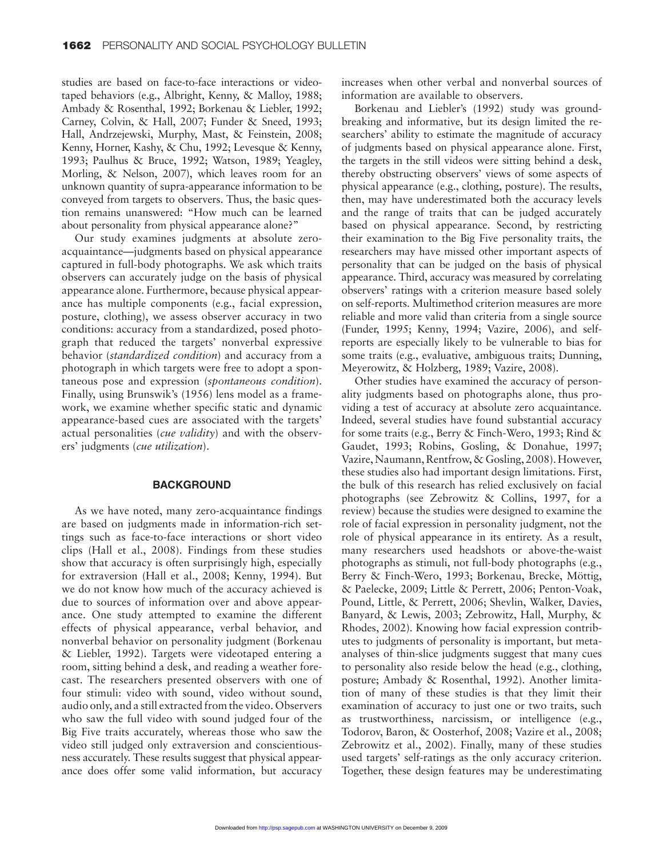studies are based on face-to-face interactions or videotaped behaviors (e.g., Albright, Kenny, & Malloy, 1988; Ambady & Rosenthal, 1992; Borkenau & Liebler, 1992; Carney, Colvin, & Hall, 2007; Funder & Sneed, 1993; Hall, Andrzejewski, Murphy, Mast, & Feinstein, 2008; Kenny, Horner, Kashy, & Chu, 1992; Levesque & Kenny, 1993; Paulhus & Bruce, 1992; Watson, 1989; Yeagley, Morling, & Nelson, 2007), which leaves room for an unknown quantity of supra-appearance information to be conveyed from targets to observers. Thus, the basic question remains unanswered: "How much can be learned about personality from physical appearance alone?"

Our study examines judgments at absolute zeroacquaintance—judgments based on physical appearance captured in full-body photographs. We ask which traits observers can accurately judge on the basis of physical appearance alone. Furthermore, because physical appearance has multiple components (e.g., facial expression, posture, clothing), we assess observer accuracy in two conditions: accuracy from a standardized, posed photograph that reduced the targets' nonverbal expressive behavior (*standardized condition*) and accuracy from a photograph in which targets were free to adopt a spontaneous pose and expression (*spontaneous condition*). Finally, using Brunswik's (1956) lens model as a framework, we examine whether specific static and dynamic appearance-based cues are associated with the targets' actual personalities (*cue validity*) and with the observers' judgments (*cue utilization*).

#### **BACKGROUND**

As we have noted, many zero-acquaintance findings are based on judgments made in information-rich settings such as face-to-face interactions or short video clips (Hall et al., 2008). Findings from these studies show that accuracy is often surprisingly high, especially for extraversion (Hall et al., 2008; Kenny, 1994). But we do not know how much of the accuracy achieved is due to sources of information over and above appearance. One study attempted to examine the different effects of physical appearance, verbal behavior, and nonverbal behavior on personality judgment (Borkenau & Liebler, 1992). Targets were videotaped entering a room, sitting behind a desk, and reading a weather forecast. The researchers presented observers with one of four stimuli: video with sound, video without sound, audio only, and a still extracted from the video. Observers who saw the full video with sound judged four of the Big Five traits accurately, whereas those who saw the video still judged only extraversion and conscientiousness accurately. These results suggest that physical appearance does offer some valid information, but accuracy

increases when other verbal and nonverbal sources of information are available to observers.

Borkenau and Liebler's (1992) study was groundbreaking and informative, but its design limited the researchers' ability to estimate the magnitude of accuracy of judgments based on physical appearance alone. First, the targets in the still videos were sitting behind a desk, thereby obstructing observers' views of some aspects of physical appearance (e.g., clothing, posture). The results, then, may have underestimated both the accuracy levels and the range of traits that can be judged accurately based on physical appearance. Second, by restricting their examination to the Big Five personality traits, the researchers may have missed other important aspects of personality that can be judged on the basis of physical appearance. Third, accuracy was measured by correlating observers' ratings with a criterion measure based solely on self-reports. Multimethod criterion measures are more reliable and more valid than criteria from a single source (Funder, 1995; Kenny, 1994; Vazire, 2006), and selfreports are especially likely to be vulnerable to bias for some traits (e.g., evaluative, ambiguous traits; Dunning, Meyerowitz, & Holzberg, 1989; Vazire, 2008).

Other studies have examined the accuracy of personality judgments based on photographs alone, thus providing a test of accuracy at absolute zero acquaintance. Indeed, several studies have found substantial accuracy for some traits (e.g., Berry & Finch-Wero, 1993; Rind & Gaudet, 1993; Robins, Gosling, & Donahue, 1997; Vazire, Naumann, Rentfrow, & Gosling, 2008). However, these studies also had important design limitations. First, the bulk of this research has relied exclusively on facial photographs (see Zebrowitz & Collins, 1997, for a review) because the studies were designed to examine the role of facial expression in personality judgment, not the role of physical appearance in its entirety. As a result, many researchers used headshots or above-the-waist photographs as stimuli, not full-body photographs (e.g., Berry & Finch-Wero, 1993; Borkenau, Brecke, Möttig, & Paelecke, 2009; Little & Perrett, 2006; Penton-Voak, Pound, Little, & Perrett, 2006; Shevlin, Walker, Davies, Banyard, & Lewis, 2003; Zebrowitz, Hall, Murphy, & Rhodes, 2002). Knowing how facial expression contributes to judgments of personality is important, but metaanalyses of thin-slice judgments suggest that many cues to personality also reside below the head (e.g., clothing, posture; Ambady & Rosenthal, 1992). Another limitation of many of these studies is that they limit their examination of accuracy to just one or two traits, such as trustworthiness, narcissism, or intelligence (e.g., Todorov, Baron, & Oosterhof, 2008; Vazire et al., 2008; Zebrowitz et al., 2002). Finally, many of these studies used targets' self-ratings as the only accuracy criterion. Together, these design features may be underestimating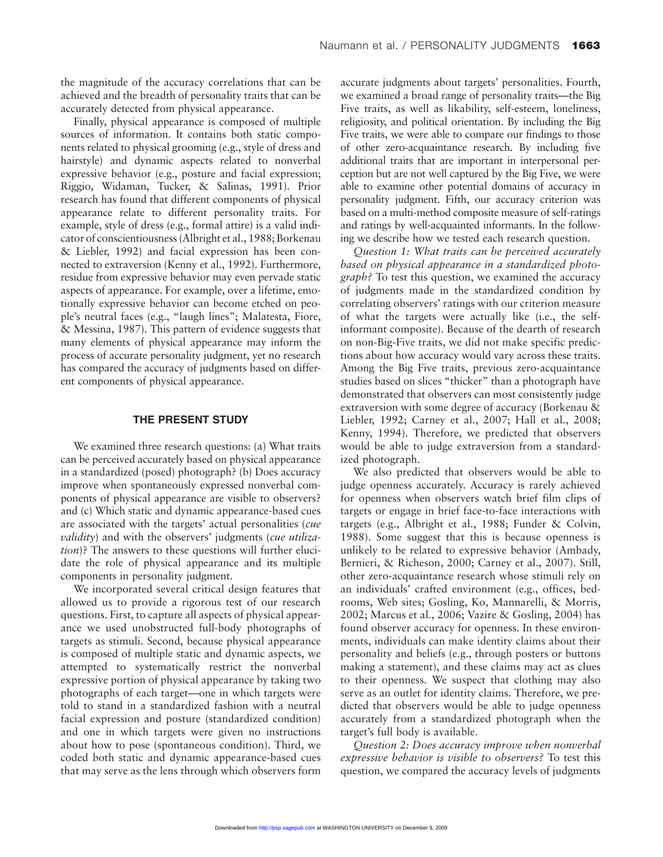the magnitude of the accuracy correlations that can be achieved and the breadth of personality traits that can be accurately detected from physical appearance.

Finally, physical appearance is composed of multiple sources of information. It contains both static components related to physical grooming (e.g., style of dress and hairstyle) and dynamic aspects related to nonverbal expressive behavior (e.g., posture and facial expression; Riggio, Widaman, Tucker, & Salinas, 1991). Prior research has found that different components of physical appearance relate to different personality traits. For example, style of dress (e.g., formal attire) is a valid indicator of conscientiousness (Albright et al., 1988; Borkenau & Liebler, 1992) and facial expression has been connected to extraversion (Kenny et al., 1992). Furthermore, residue from expressive behavior may even pervade static aspects of appearance. For example, over a lifetime, emotionally expressive behavior can become etched on people's neutral faces (e.g., "laugh lines"; Malatesta, Fiore, & Messina, 1987). This pattern of evidence suggests that many elements of physical appearance may inform the process of accurate personality judgment, yet no research has compared the accuracy of judgments based on different components of physical appearance.

#### **THE PRESENT STUDY**

We examined three research questions: (a) What traits can be perceived accurately based on physical appearance in a standardized (posed) photograph? (b) Does accuracy improve when spontaneously expressed nonverbal components of physical appearance are visible to observers? and (c) Which static and dynamic appearance-based cues are associated with the targets' actual personalities (*cue validity*) and with the observers' judgments (*cue utilization*)? The answers to these questions will further elucidate the role of physical appearance and its multiple components in personality judgment.

We incorporated several critical design features that allowed us to provide a rigorous test of our research questions. First, to capture all aspects of physical appearance we used unobstructed full-body photographs of targets as stimuli. Second, because physical appearance is composed of multiple static and dynamic aspects, we attempted to systematically restrict the nonverbal expressive portion of physical appearance by taking two photographs of each target—one in which targets were told to stand in a standardized fashion with a neutral facial expression and posture (standardized condition) and one in which targets were given no instructions about how to pose (spontaneous condition). Third, we coded both static and dynamic appearance-based cues that may serve as the lens through which observers form accurate judgments about targets' personalities. Fourth, we examined a broad range of personality traits—the Big Five traits, as well as likability, self-esteem, loneliness, religiosity, and political orientation. By including the Big Five traits, we were able to compare our findings to those of other zero-acquaintance research. By including five additional traits that are important in interpersonal perception but are not well captured by the Big Five, we were able to examine other potential domains of accuracy in personality judgment. Fifth, our accuracy criterion was based on a multi-method composite measure of self-ratings and ratings by well-acquainted informants. In the following we describe how we tested each research question.

*Question 1: What traits can be perceived accurately based on physical appearance in a standardized photograph?* To test this question, we examined the accuracy of judgments made in the standardized condition by correlating observers' ratings with our criterion measure of what the targets were actually like (i.e., the selfinformant composite). Because of the dearth of research on non-Big-Five traits, we did not make specific predictions about how accuracy would vary across these traits. Among the Big Five traits, previous zero-acquaintance studies based on slices "thicker" than a photograph have demonstrated that observers can most consistently judge extraversion with some degree of accuracy (Borkenau & Liebler, 1992; Carney et al., 2007; Hall et al., 2008; Kenny, 1994). Therefore, we predicted that observers would be able to judge extraversion from a standardized photograph.

We also predicted that observers would be able to judge openness accurately. Accuracy is rarely achieved for openness when observers watch brief film clips of targets or engage in brief face-to-face interactions with targets (e.g., Albright et al., 1988; Funder & Colvin, 1988). Some suggest that this is because openness is unlikely to be related to expressive behavior (Ambady, Bernieri, & Richeson, 2000; Carney et al., 2007). Still, other zero-acquaintance research whose stimuli rely on an individuals' crafted environment (e.g., offices, bedrooms, Web sites; Gosling, Ko, Mannarelli, & Morris, 2002; Marcus et al., 2006; Vazire & Gosling, 2004) has found observer accuracy for openness. In these environments, individuals can make identity claims about their personality and beliefs (e.g., through posters or buttons making a statement), and these claims may act as clues to their openness. We suspect that clothing may also serve as an outlet for identity claims. Therefore, we predicted that observers would be able to judge openness accurately from a standardized photograph when the target's full body is available.

*Question 2: Does accuracy improve when nonverbal expressive behavior is visible to observers?* To test this question, we compared the accuracy levels of judgments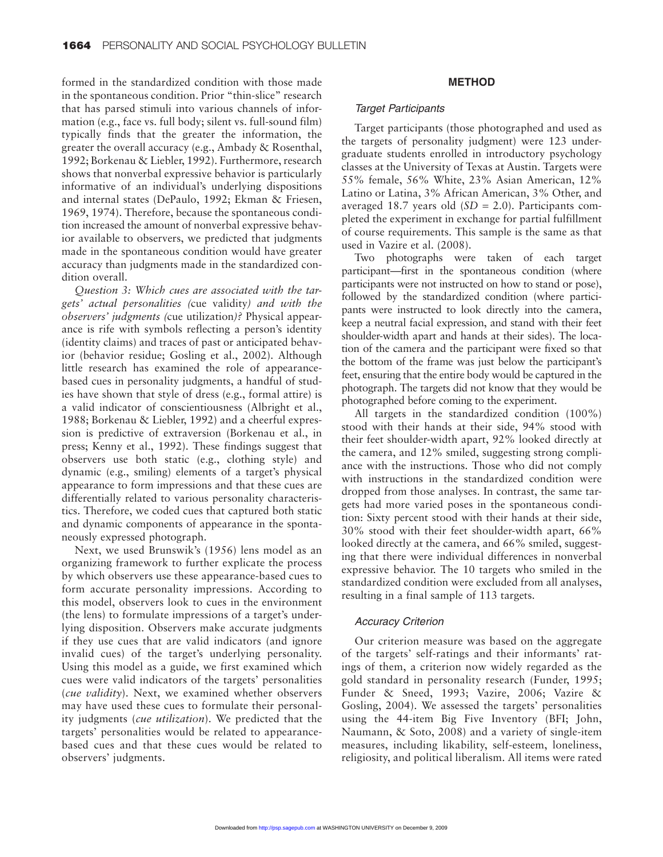formed in the standardized condition with those made in the spontaneous condition. Prior "thin-slice" research that has parsed stimuli into various channels of information (e.g., face vs. full body; silent vs. full-sound film) typically finds that the greater the information, the greater the overall accuracy (e.g., Ambady & Rosenthal, 1992; Borkenau & Liebler, 1992). Furthermore, research shows that nonverbal expressive behavior is particularly informative of an individual's underlying dispositions and internal states (DePaulo, 1992; Ekman & Friesen, 1969, 1974). Therefore, because the spontaneous condition increased the amount of nonverbal expressive behavior available to observers, we predicted that judgments made in the spontaneous condition would have greater accuracy than judgments made in the standardized condition overall.

*Question 3: Which cues are associated with the targets' actual personalities (*cue validity*) and with the observers' judgments (*cue utilization*)?* Physical appearance is rife with symbols reflecting a person's identity (identity claims) and traces of past or anticipated behavior (behavior residue; Gosling et al., 2002). Although little research has examined the role of appearancebased cues in personality judgments, a handful of studies have shown that style of dress (e.g., formal attire) is a valid indicator of conscientiousness (Albright et al., 1988; Borkenau & Liebler, 1992) and a cheerful expression is predictive of extraversion (Borkenau et al., in press; Kenny et al., 1992). These findings suggest that observers use both static (e.g., clothing style) and dynamic (e.g., smiling) elements of a target's physical appearance to form impressions and that these cues are differentially related to various personality characteristics. Therefore, we coded cues that captured both static and dynamic components of appearance in the spontaneously expressed photograph.

Next, we used Brunswik's (1956) lens model as an organizing framework to further explicate the process by which observers use these appearance-based cues to form accurate personality impressions. According to this model, observers look to cues in the environment (the lens) to formulate impressions of a target's underlying disposition. Observers make accurate judgments if they use cues that are valid indicators (and ignore invalid cues) of the target's underlying personality. Using this model as a guide, we first examined which cues were valid indicators of the targets' personalities (*cue validity*). Next, we examined whether observers may have used these cues to formulate their personality judgments (*cue utilization*). We predicted that the targets' personalities would be related to appearancebased cues and that these cues would be related to observers' judgments.

#### **METHOD**

#### *Target Participants*

Target participants (those photographed and used as the targets of personality judgment) were 123 undergraduate students enrolled in introductory psychology classes at the University of Texas at Austin. Targets were 55% female, 56% White, 23% Asian American, 12% Latino or Latina, 3% African American, 3% Other, and averaged 18.7 years old (*SD* = 2.0). Participants completed the experiment in exchange for partial fulfillment of course requirements. This sample is the same as that used in Vazire et al. (2008).

Two photographs were taken of each target participant—first in the spontaneous condition (where participants were not instructed on how to stand or pose), followed by the standardized condition (where participants were instructed to look directly into the camera, keep a neutral facial expression, and stand with their feet shoulder-width apart and hands at their sides). The location of the camera and the participant were fixed so that the bottom of the frame was just below the participant's feet, ensuring that the entire body would be captured in the photograph. The targets did not know that they would be photographed before coming to the experiment.

All targets in the standardized condition (100%) stood with their hands at their side, 94% stood with their feet shoulder-width apart, 92% looked directly at the camera, and 12% smiled, suggesting strong compliance with the instructions. Those who did not comply with instructions in the standardized condition were dropped from those analyses. In contrast, the same targets had more varied poses in the spontaneous condition: Sixty percent stood with their hands at their side, 30% stood with their feet shoulder-width apart, 66% looked directly at the camera, and 66% smiled, suggesting that there were individual differences in nonverbal expressive behavior. The 10 targets who smiled in the standardized condition were excluded from all analyses, resulting in a final sample of 113 targets.

#### *Accuracy Criterion*

Our criterion measure was based on the aggregate of the targets' self-ratings and their informants' ratings of them, a criterion now widely regarded as the gold standard in personality research (Funder, 1995; Funder & Sneed, 1993; Vazire, 2006; Vazire & Gosling, 2004). We assessed the targets' personalities using the 44-item Big Five Inventory (BFI; John, Naumann, & Soto, 2008) and a variety of single-item measures, including likability, self-esteem, loneliness, religiosity, and political liberalism. All items were rated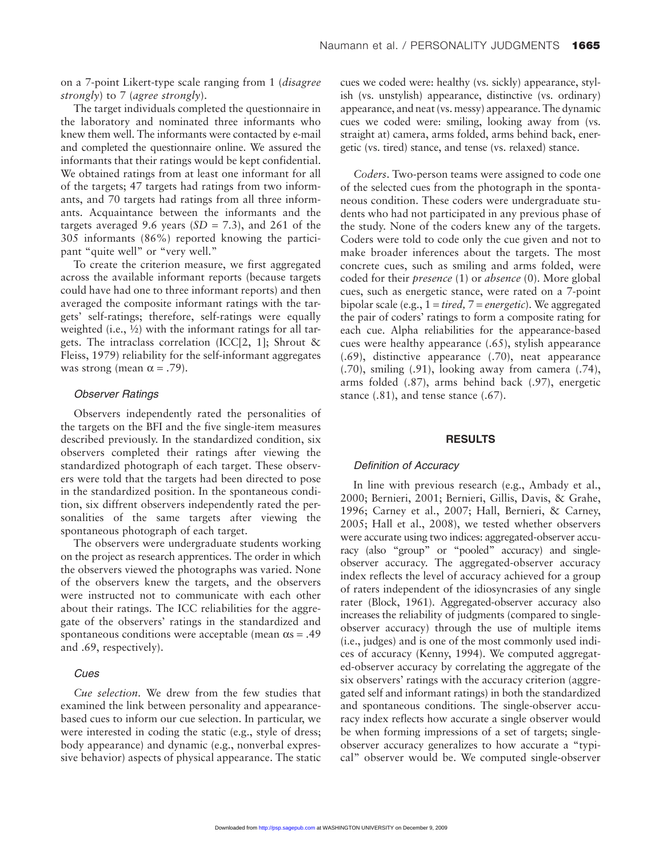on a 7-point Likert-type scale ranging from 1 (*disagree strongly*) to 7 (*agree strongly*).

The target individuals completed the questionnaire in the laboratory and nominated three informants who knew them well. The informants were contacted by e-mail and completed the questionnaire online. We assured the informants that their ratings would be kept confidential. We obtained ratings from at least one informant for all of the targets; 47 targets had ratings from two informants, and 70 targets had ratings from all three informants. Acquaintance between the informants and the targets averaged 9.6 years  $(SD = 7.3)$ , and 261 of the 305 informants (86%) reported knowing the participant "quite well" or "very well."

To create the criterion measure, we first aggregated across the available informant reports (because targets could have had one to three informant reports) and then averaged the composite informant ratings with the targets' self-ratings; therefore, self-ratings were equally weighted (i.e.,  $\frac{1}{2}$ ) with the informant ratings for all targets. The intraclass correlation (ICC[2, 1]; Shrout & Fleiss, 1979) reliability for the self-informant aggregates was strong (mean  $\alpha = .79$ ).

#### *Observer Ratings*

Observers independently rated the personalities of the targets on the BFI and the five single-item measures described previously. In the standardized condition, six observers completed their ratings after viewing the standardized photograph of each target. These observers were told that the targets had been directed to pose in the standardized position. In the spontaneous condition, six diffrent observers independently rated the personalities of the same targets after viewing the spontaneous photograph of each target.

The observers were undergraduate students working on the project as research apprentices. The order in which the observers viewed the photographs was varied. None of the observers knew the targets, and the observers were instructed not to communicate with each other about their ratings. The ICC reliabilities for the aggregate of the observers' ratings in the standardized and spontaneous conditions were acceptable (mean  $\alpha$ s = .49 and .69, respectively).

#### *Cues*

*Cue selection*. We drew from the few studies that examined the link between personality and appearancebased cues to inform our cue selection. In particular, we were interested in coding the static (e.g., style of dress; body appearance) and dynamic (e.g., nonverbal expressive behavior) aspects of physical appearance. The static cues we coded were: healthy (vs. sickly) appearance, stylish (vs. unstylish) appearance, distinctive (vs. ordinary) appearance, and neat (vs. messy) appearance. The dynamic cues we coded were: smiling, looking away from (vs. straight at) camera, arms folded, arms behind back, energetic (vs. tired) stance, and tense (vs. relaxed) stance.

*Coders*. Two-person teams were assigned to code one of the selected cues from the photograph in the spontaneous condition. These coders were undergraduate students who had not participated in any previous phase of the study. None of the coders knew any of the targets. Coders were told to code only the cue given and not to make broader inferences about the targets. The most concrete cues, such as smiling and arms folded, were coded for their *presence* (1) or *absence* (0). More global cues, such as energetic stance, were rated on a 7-point bipolar scale (e.g., 1 = *tired,* 7 = *energetic*). We aggregated the pair of coders' ratings to form a composite rating for each cue. Alpha reliabilities for the appearance-based cues were healthy appearance (.65), stylish appearance (.69), distinctive appearance (.70), neat appearance (.70), smiling (.91), looking away from camera (.74), arms folded (.87), arms behind back (.97), energetic stance  $(.81)$ , and tense stance  $(.67)$ .

#### **RESULTS**

#### *Definition of Accuracy*

In line with previous research (e.g., Ambady et al., 2000; Bernieri, 2001; Bernieri, Gillis, Davis, & Grahe, 1996; Carney et al., 2007; Hall, Bernieri, & Carney, 2005; Hall et al., 2008), we tested whether observers were accurate using two indices: aggregated-observer accuracy (also "group" or "pooled" accuracy) and singleobserver accuracy. The aggregated-observer accuracy index reflects the level of accuracy achieved for a group of raters independent of the idiosyncrasies of any single rater (Block, 1961). Aggregated-observer accuracy also increases the reliability of judgments (compared to singleobserver accuracy) through the use of multiple items (i.e., judges) and is one of the most commonly used indices of accuracy (Kenny, 1994). We computed aggregated-observer accuracy by correlating the aggregate of the six observers' ratings with the accuracy criterion (aggregated self and informant ratings) in both the standardized and spontaneous conditions. The single-observer accuracy index reflects how accurate a single observer would be when forming impressions of a set of targets; singleobserver accuracy generalizes to how accurate a "typical" observer would be. We computed single-observer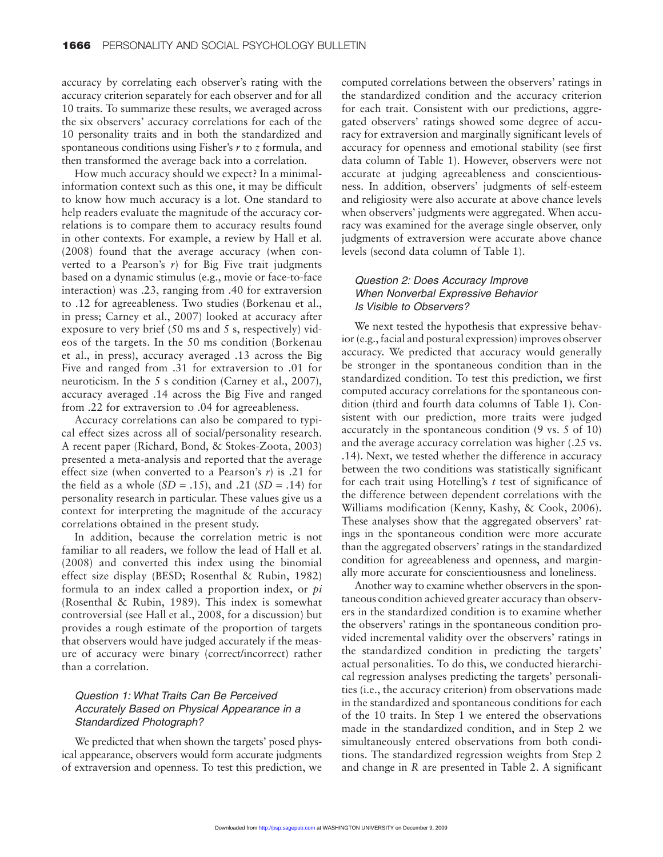accuracy by correlating each observer's rating with the accuracy criterion separately for each observer and for all 10 traits. To summarize these results, we averaged across the six observers' accuracy correlations for each of the 10 personality traits and in both the standardized and spontaneous conditions using Fisher's *r* to *z* formula, and then transformed the average back into a correlation.

How much accuracy should we expect? In a minimalinformation context such as this one, it may be difficult to know how much accuracy is a lot. One standard to help readers evaluate the magnitude of the accuracy correlations is to compare them to accuracy results found in other contexts. For example, a review by Hall et al. (2008) found that the average accuracy (when converted to a Pearson's *r*) for Big Five trait judgments based on a dynamic stimulus (e.g., movie or face-to-face interaction) was .23, ranging from .40 for extraversion to .12 for agreeableness. Two studies (Borkenau et al., in press; Carney et al., 2007) looked at accuracy after exposure to very brief (50 ms and 5 s, respectively) videos of the targets. In the 50 ms condition (Borkenau et al., in press), accuracy averaged .13 across the Big Five and ranged from .31 for extraversion to .01 for neuroticism. In the 5 s condition (Carney et al., 2007), accuracy averaged .14 across the Big Five and ranged from .22 for extraversion to .04 for agreeableness.

Accuracy correlations can also be compared to typical effect sizes across all of social/personality research. A recent paper (Richard, Bond, & Stokes-Zoota, 2003) presented a meta-analysis and reported that the average effect size (when converted to a Pearson's *r*) is .21 for the field as a whole  $(SD = .15)$ , and  $.21$   $(SD = .14)$  for personality research in particular. These values give us a context for interpreting the magnitude of the accuracy correlations obtained in the present study.

In addition, because the correlation metric is not familiar to all readers, we follow the lead of Hall et al. (2008) and converted this index using the binomial effect size display (BESD; Rosenthal & Rubin, 1982) formula to an index called a proportion index, or *pi*  (Rosenthal & Rubin, 1989). This index is somewhat controversial (see Hall et al., 2008, for a discussion) but provides a rough estimate of the proportion of targets that observers would have judged accurately if the measure of accuracy were binary (correct/incorrect) rather than a correlation.

# *Question 1: What Traits Can Be Perceived Accurately Based on Physical Appearance in a Standardized Photograph?*

We predicted that when shown the targets' posed physical appearance, observers would form accurate judgments of extraversion and openness. To test this prediction, we

computed correlations between the observers' ratings in the standardized condition and the accuracy criterion for each trait. Consistent with our predictions, aggregated observers' ratings showed some degree of accuracy for extraversion and marginally significant levels of accuracy for openness and emotional stability (see first data column of Table 1). However, observers were not accurate at judging agreeableness and conscientiousness. In addition, observers' judgments of self-esteem and religiosity were also accurate at above chance levels when observers' judgments were aggregated. When accuracy was examined for the average single observer, only judgments of extraversion were accurate above chance levels (second data column of Table 1).

# *Question 2: Does Accuracy Improve When Nonverbal Expressive Behavior Is Visible to Observers?*

We next tested the hypothesis that expressive behavior (e.g., facial and postural expression) improves observer accuracy. We predicted that accuracy would generally be stronger in the spontaneous condition than in the standardized condition. To test this prediction, we first computed accuracy correlations for the spontaneous condition (third and fourth data columns of Table 1). Consistent with our prediction, more traits were judged accurately in the spontaneous condition (9 vs. 5 of 10) and the average accuracy correlation was higher (.25 vs. .14). Next, we tested whether the difference in accuracy between the two conditions was statistically significant for each trait using Hotelling's *t* test of significance of the difference between dependent correlations with the Williams modification (Kenny, Kashy, & Cook, 2006). These analyses show that the aggregated observers' ratings in the spontaneous condition were more accurate than the aggregated observers' ratings in the standardized condition for agreeableness and openness, and marginally more accurate for conscientiousness and loneliness.

Another way to examine whether observers in the spontaneous condition achieved greater accuracy than observers in the standardized condition is to examine whether the observers' ratings in the spontaneous condition provided incremental validity over the observers' ratings in the standardized condition in predicting the targets' actual personalities. To do this, we conducted hierarchical regression analyses predicting the targets' personalities (i.e., the accuracy criterion) from observations made in the standardized and spontaneous conditions for each of the 10 traits. In Step 1 we entered the observations made in the standardized condition, and in Step 2 we simultaneously entered observations from both conditions. The standardized regression weights from Step 2 and change in *R* are presented in Table 2. A significant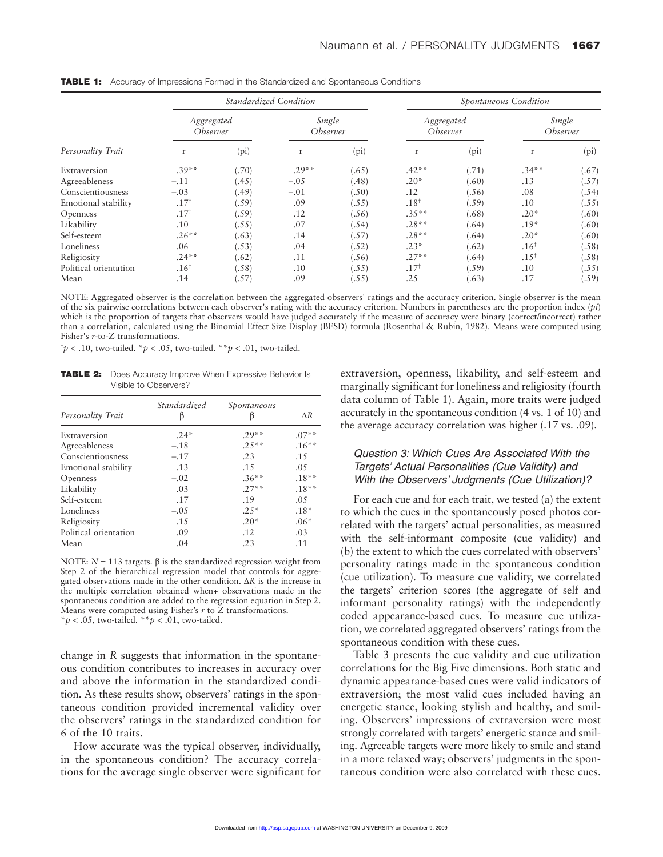|                       |                        |         | Standardized Condition | Spontaneous Condition |                        |         |                    |                   |
|-----------------------|------------------------|---------|------------------------|-----------------------|------------------------|---------|--------------------|-------------------|
|                       | Aggregated<br>Observer |         | Single<br>Observer     |                       | Aggregated<br>Observer |         | Single<br>Observer |                   |
| Personality Trait     |                        | $(p_i)$ | r                      | $(p_i)$               | r                      | $(p_i)$ | r                  | (p <sub>i</sub> ) |
| Extraversion          | $.39**$                | (.70)   | $.29**$                | (.65)                 | $.42**$                | (.71)   | $.34**$            | (.67)             |
| Agreeableness         | $-.11$                 | (.45)   | $-.05$                 | (.48)                 | $.20*$                 | (.60)   | .13                | (.57)             |
| Conscientiousness     | $-.03$                 | (.49)   | $-.01$                 | (.50)                 | .12                    | (.56)   | .08                | (.54)             |
| Emotional stability   | .17 <sup>†</sup>       | (.59)   | .09                    | (.55)                 | $.18^{+}$              | (.59)   | .10                | (.55)             |
| Openness              | $.17^{+}$              | (.59)   | .12                    | (.56)                 | $.35***$               | (.68)   | $.20*$             | (.60)             |
| Likability            | .10                    | (.55)   | .07                    | (.54)                 | $.28**$                | (.64)   | $.19*$             | (.60)             |
| Self-esteem           | $.26***$               | (.63)   | .14                    | (.57)                 | $.28**$                | (.64)   | $.20*$             | (.60)             |
| Loneliness            | .06                    | (.53)   | .04                    | (.52)                 | $.23*$                 | (.62)   | .16 <sup>†</sup>   | (.58)             |
| Religiosity           | $.24***$               | (.62)   | .11                    | (.56)                 | $.27**$                | (.64)   | $.15^+$            | (.58)             |
| Political orientation | .16 <sup>†</sup>       | (.58)   | .10                    | (.55)                 | .17 <sup>†</sup>       | (.59)   | .10                | (.55)             |
| Mean                  | .14                    | (.57)   | .09                    | (.55)                 | .25                    | (.63)   | .17                | (.59)             |

**TABLE 1:** Accuracy of Impressions Formed in the Standardized and Spontaneous Conditions

NOTE: Aggregated observer is the correlation between the aggregated observers' ratings and the accuracy criterion. Single observer is the mean of the six pairwise correlations between each observer's rating with the accuracy criterion. Numbers in parentheses are the proportion index (*pi*) which is the proportion of targets that observers would have judged accurately if the measure of accuracy were binary (correct/incorrect) rather than a correlation, calculated using the Binomial Effect Size Display (BESD) formula (Rosenthal & Rubin, 1982). Means were computed using Fisher's *r*-to-Z transformations.

† *p* < .10, two-tailed. \**p* < .05, two-tailed. \*\**p* < .01, two-tailed.

TABLE 2: Does Accuracy Improve When Expressive Behavior Is Visible to Observers?

| Personality Trait     | Standardized<br>ß | Spontaneous<br>ß | $\Delta R$ |
|-----------------------|-------------------|------------------|------------|
| Extraversion          | $.24*$            | $29**$           | $.07**$    |
| Agreeableness         | $-.18$            | $.25**$          | $.16**$    |
| Conscientiousness     | $-.17$            | .23              | .1.5       |
| Emotional stability   | .13               | .1.5             | .05        |
| Openness              | $-.02$            | $.36**$          | $.18**$    |
| Likability            | .03               | $.27**$          | $.18***$   |
| Self-esteem           | .17               | .19              | .05        |
| Loneliness            | $-.05$            | $.2.5*$          | $.18*$     |
| Religiosity           | .15               | $.20*$           | $.06*$     |
| Political orientation | .09               | .12              | .03        |
| Mean                  | .04               | .23              | .11        |

NOTE:  $N = 113$  targets.  $β$  is the standardized regression weight from Step 2 of the hierarchical regression model that controls for aggregated observations made in the other condition. Δ*R* is the increase in the multiple correlation obtained when+ observations made in the spontaneous condition are added to the regression equation in Step 2. Means were computed using Fisher's *r* to *Z* transformations. \**p* < .05, two-tailed. \*\**p* < .01, two-tailed.

change in *R* suggests that information in the spontaneous condition contributes to increases in accuracy over and above the information in the standardized condition. As these results show, observers' ratings in the spontaneous condition provided incremental validity over the observers' ratings in the standardized condition for 6 of the 10 traits.

How accurate was the typical observer, individually, in the spontaneous condition? The accuracy correlations for the average single observer were significant for extraversion, openness, likability, and self-esteem and marginally significant for loneliness and religiosity (fourth data column of Table 1). Again, more traits were judged accurately in the spontaneous condition (4 vs. 1 of 10) and the average accuracy correlation was higher (.17 vs. .09).

### *Question 3: Which Cues Are Associated With the Targets' Actual Personalities (Cue Validity) and With the Observers' Judgments (Cue Utilization)?*

For each cue and for each trait, we tested (a) the extent to which the cues in the spontaneously posed photos correlated with the targets' actual personalities, as measured with the self-informant composite (cue validity) and (b) the extent to which the cues correlated with observers' personality ratings made in the spontaneous condition (cue utilization). To measure cue validity, we correlated the targets' criterion scores (the aggregate of self and informant personality ratings) with the independently coded appearance-based cues. To measure cue utilization, we correlated aggregated observers' ratings from the spontaneous condition with these cues.

Table 3 presents the cue validity and cue utilization correlations for the Big Five dimensions. Both static and dynamic appearance-based cues were valid indicators of extraversion; the most valid cues included having an energetic stance, looking stylish and healthy, and smiling. Observers' impressions of extraversion were most strongly correlated with targets' energetic stance and smiling. Agreeable targets were more likely to smile and stand in a more relaxed way; observers' judgments in the spontaneous condition were also correlated with these cues.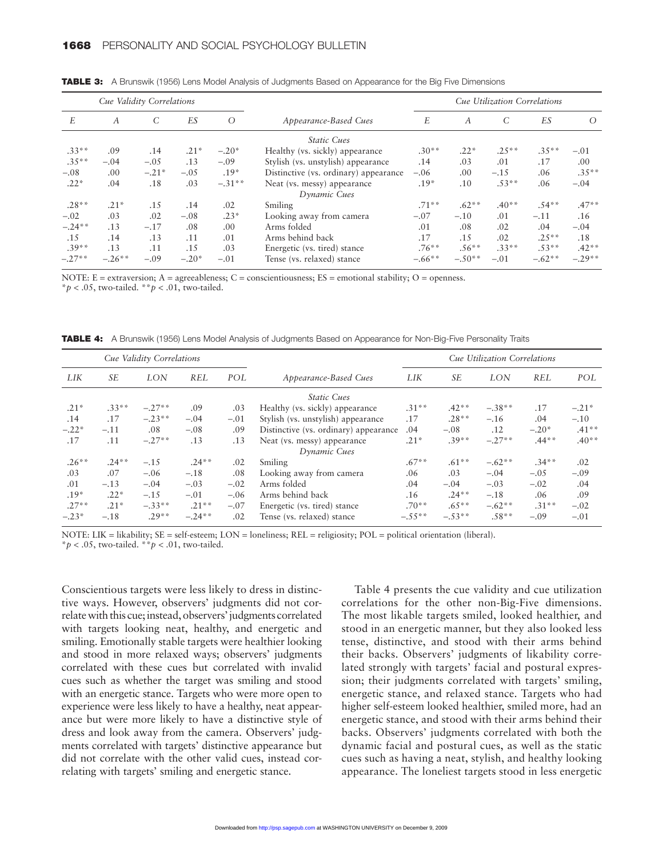| Cue Validity Correlations |                  |                   |         |          |                                       | Cue Utilization Correlations |          |          |          |                  |
|---------------------------|------------------|-------------------|---------|----------|---------------------------------------|------------------------------|----------|----------|----------|------------------|
| E                         | $\boldsymbol{A}$ | $\mathcal{C}_{0}$ | ES      | $\Omega$ | Appearance-Based Cues                 | E                            | A        | C        | ES       | $\left( \right)$ |
|                           |                  |                   |         |          | <i>Static Cues</i>                    |                              |          |          |          |                  |
| $.33**$                   | .09              | .14               | $.21*$  | $-.20*$  | Healthy (vs. sickly) appearance       | $.30**$                      | $.22*$   | $.25***$ | $.35***$ | $-.01$           |
| $.35**$                   | $-.04$           | $-.05$            | .13     | $-.09$   | Stylish (vs. unstylish) appearance    | .14                          | .03      | .01      | .17      | .00              |
| $-.08$                    | .00              | $-.21*$           | $-.05$  | $.19*$   | Distinctive (vs. ordinary) appearance | $-.06$                       | .00      | $-.15$   | .06      | $.35***$         |
| $.22*$                    | .04              | .18               | .03     | $-.31**$ | Neat (vs. messy) appearance           | $.19*$                       | .10      | $.53**$  | .06      | $-.04$           |
|                           | Dynamic Cues     |                   |         |          |                                       |                              |          |          |          |                  |
| $.28**$                   | $.21*$           | .15               | .14     | .02      | Smiling                               | $.71**$                      | $.62**$  | $.40**$  | $.54**$  | $.47**$          |
| $-.02$                    | .03              | .02               | $-.08$  | $.23*$   | Looking away from camera              | $-.07$                       | $-.10$   | .01      | $-.11$   | .16              |
| $-.24**$                  | .13              | $-.17$            | .08     | .00      | Arms folded                           | .01                          | .08      | .02      | .04      | $-.04$           |
| .15                       | .14              | .13               | .11     | .01      | Arms behind back                      | .17                          | .15      | .02      | $.25***$ | .18              |
| $.39**$                   | .13              | .11               | .15     | .03      | Energetic (vs. tired) stance          | $.76***$                     | $.56***$ | $.33**$  | $.53**$  | $.42**$          |
| $-.27**$                  | $-.26**$         | $-.09$            | $-.20*$ | $-.01$   | Tense (vs. relaxed) stance            | $-.66**$                     | $-.50**$ | $-.01$   | $-.62**$ | $-.29**$         |

TABLE 3: A Brunswik (1956) Lens Model Analysis of Judgments Based on Appearance for the Big Five Dimensions

NOTE:  $E =$  extraversion; A = agreeableness; C = conscientiousness; ES = emotional stability; O = openness.

\**p* < .05, two-tailed. \*\**p* < .01, two-tailed.

TABLE 4: A Brunswik (1956) Lens Model Analysis of Judgments Based on Appearance for Non-Big-Five Personality Traits

| Cue Validity Correlations |                                |          |                       |        |                                       | Cue Utilization Correlations |            |          |         |         |
|---------------------------|--------------------------------|----------|-----------------------|--------|---------------------------------------|------------------------------|------------|----------|---------|---------|
| LIK                       | SE<br>POL<br>LON<br><b>REL</b> |          | Appearance-Based Cues | LIK    | SE                                    | LON                          | <b>REL</b> | POL      |         |         |
| <i>Static Cues</i>        |                                |          |                       |        |                                       |                              |            |          |         |         |
| $.21*$                    | $.33**$                        | $-.27**$ | .09                   | .03    | Healthy (vs. sickly) appearance       | $.31**$                      | $.42**$    | $-.38**$ | .17     | $-.21*$ |
| .14                       | .17                            | $-.23**$ | $-.04$                | $-.01$ | Stylish (vs. unstylish) appearance    | .17                          | $.28**$    | $-.16$   | .04     | $-.10$  |
| $-.22*$                   | $-.11$                         | .08      | $-.08$                | .09    | Distinctive (vs. ordinary) appearance | .04                          | $-.08$     | .12      | $-.20*$ | $.41**$ |
| .17                       | .11                            | $-.27**$ | .13                   | .13    | Neat (vs. messy) appearance           | $.21*$                       | $.39**$    | $-.27**$ | $.44**$ | $.40**$ |
| Dynamic Cues              |                                |          |                       |        |                                       |                              |            |          |         |         |
| $.26***$                  | $.24**$                        | $-.15$   | $.24**$               | .02    | Smiling                               | $.67**$                      | $.61**$    | $-.62**$ | $.34**$ | .02     |
| .03                       | .07                            | $-.06$   | $-.18$                | .08    | Looking away from camera              | .06                          | .03        | $-.04$   | $-.05$  | $-.09$  |
| .01                       | $-.13$                         | $-.04$   | $-.03$                | $-.02$ | Arms folded                           | .04                          | $-.04$     | $-.03$   | $-.02$  | .04     |
| $.19*$                    | $.22*$                         | $-.15$   | $-.01$                | $-.06$ | Arms behind back                      | .16                          | $.24**$    | $-.18$   | .06     | .09     |
| $.27**$                   | $.21*$                         | $-.33**$ | $.21**$               | $-.07$ | Energetic (vs. tired) stance          | $.70**$                      | $.65***$   | $-.62**$ | $.31**$ | $-.02$  |
| $-.23*$                   | $-.18$                         | $.29**$  | $-.24**$              | .02    | Tense (vs. relaxed) stance            | $-.55**$                     | $-.53**$   | $.58**$  | $-.09$  | $-.01$  |

NOTE: LIK = likability; SE = self-esteem; LON = loneliness; REL = religiosity; POL = political orientation (liberal). \**p* < .05, two-tailed. \*\**p* < .01, two-tailed.

Conscientious targets were less likely to dress in distinctive ways. However, observers' judgments did not correlate with this cue; instead, observers' judgments correlated with targets looking neat, healthy, and energetic and smiling. Emotionally stable targets were healthier looking and stood in more relaxed ways; observers' judgments correlated with these cues but correlated with invalid cues such as whether the target was smiling and stood with an energetic stance. Targets who were more open to experience were less likely to have a healthy, neat appearance but were more likely to have a distinctive style of dress and look away from the camera. Observers' judgments correlated with targets' distinctive appearance but did not correlate with the other valid cues, instead correlating with targets' smiling and energetic stance.

Table 4 presents the cue validity and cue utilization correlations for the other non-Big-Five dimensions. The most likable targets smiled, looked healthier, and stood in an energetic manner, but they also looked less tense, distinctive, and stood with their arms behind their backs. Observers' judgments of likability correlated strongly with targets' facial and postural expression; their judgments correlated with targets' smiling, energetic stance, and relaxed stance. Targets who had higher self-esteem looked healthier, smiled more, had an energetic stance, and stood with their arms behind their backs. Observers' judgments correlated with both the dynamic facial and postural cues, as well as the static cues such as having a neat, stylish, and healthy looking appearance. The loneliest targets stood in less energetic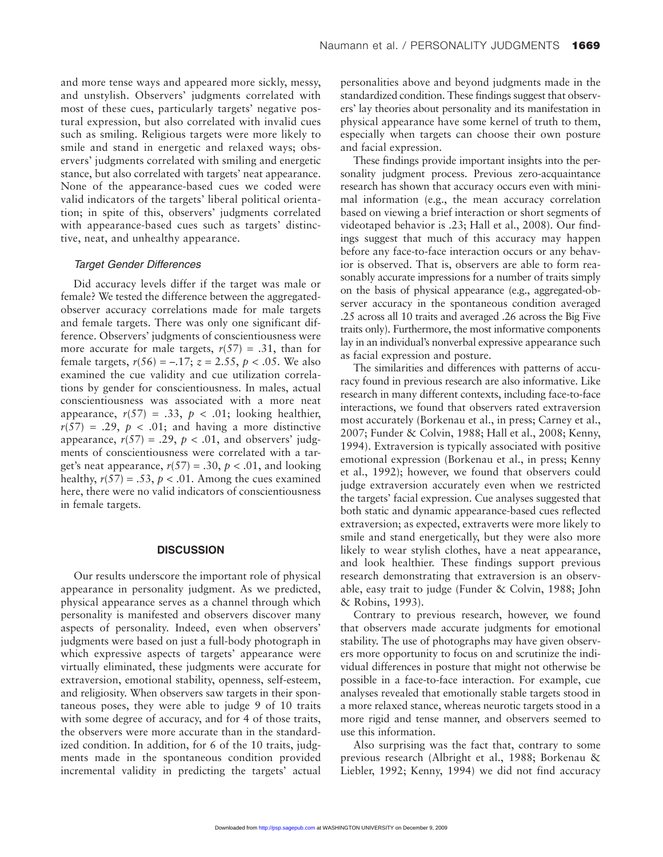and more tense ways and appeared more sickly, messy, and unstylish. Observers' judgments correlated with most of these cues, particularly targets' negative postural expression, but also correlated with invalid cues such as smiling. Religious targets were more likely to smile and stand in energetic and relaxed ways; observers' judgments correlated with smiling and energetic stance, but also correlated with targets' neat appearance. None of the appearance-based cues we coded were valid indicators of the targets' liberal political orientation; in spite of this, observers' judgments correlated with appearance-based cues such as targets' distinctive, neat, and unhealthy appearance.

#### *Target Gender Differences*

Did accuracy levels differ if the target was male or female? We tested the difference between the aggregatedobserver accuracy correlations made for male targets and female targets. There was only one significant difference. Observers' judgments of conscientiousness were more accurate for male targets,  $r(57) = .31$ , than for female targets,  $r(56) = -.17$ ;  $z = 2.55$ ,  $p < .05$ . We also examined the cue validity and cue utilization correlations by gender for conscientiousness. In males, actual conscientiousness was associated with a more neat appearance,  $r(57) = .33$ ,  $p < .01$ ; looking healthier,  $r(57) = .29$ ,  $p < .01$ ; and having a more distinctive appearance,  $r(57) = .29$ ,  $p < .01$ , and observers' judgments of conscientiousness were correlated with a target's neat appearance,  $r(57) = .30$ ,  $p < .01$ , and looking healthy,  $r(57) = .53$ ,  $p < .01$ . Among the cues examined here, there were no valid indicators of conscientiousness in female targets.

#### **DISCUSSION**

Our results underscore the important role of physical appearance in personality judgment. As we predicted, physical appearance serves as a channel through which personality is manifested and observers discover many aspects of personality. Indeed, even when observers' judgments were based on just a full-body photograph in which expressive aspects of targets' appearance were virtually eliminated, these judgments were accurate for extraversion, emotional stability, openness, self-esteem, and religiosity. When observers saw targets in their spontaneous poses, they were able to judge 9 of 10 traits with some degree of accuracy, and for 4 of those traits, the observers were more accurate than in the standardized condition. In addition, for 6 of the 10 traits, judgments made in the spontaneous condition provided incremental validity in predicting the targets' actual personalities above and beyond judgments made in the standardized condition. These findings suggest that observers' lay theories about personality and its manifestation in physical appearance have some kernel of truth to them, especially when targets can choose their own posture and facial expression.

These findings provide important insights into the personality judgment process. Previous zero-acquaintance research has shown that accuracy occurs even with minimal information (e.g., the mean accuracy correlation based on viewing a brief interaction or short segments of videotaped behavior is .23; Hall et al., 2008). Our findings suggest that much of this accuracy may happen before any face-to-face interaction occurs or any behavior is observed. That is, observers are able to form reasonably accurate impressions for a number of traits simply on the basis of physical appearance (e.g., aggregated-observer accuracy in the spontaneous condition averaged .25 across all 10 traits and averaged .26 across the Big Five traits only). Furthermore, the most informative components lay in an individual's nonverbal expressive appearance such as facial expression and posture.

The similarities and differences with patterns of accuracy found in previous research are also informative. Like research in many different contexts, including face-to-face interactions, we found that observers rated extraversion most accurately (Borkenau et al., in press; Carney et al., 2007; Funder & Colvin, 1988; Hall et al., 2008; Kenny, 1994). Extraversion is typically associated with positive emotional expression (Borkenau et al., in press; Kenny et al., 1992); however, we found that observers could judge extraversion accurately even when we restricted the targets' facial expression. Cue analyses suggested that both static and dynamic appearance-based cues reflected extraversion; as expected, extraverts were more likely to smile and stand energetically, but they were also more likely to wear stylish clothes, have a neat appearance, and look healthier. These findings support previous research demonstrating that extraversion is an observable, easy trait to judge (Funder & Colvin, 1988; John & Robins, 1993).

Contrary to previous research, however, we found that observers made accurate judgments for emotional stability. The use of photographs may have given observers more opportunity to focus on and scrutinize the individual differences in posture that might not otherwise be possible in a face-to-face interaction. For example, cue analyses revealed that emotionally stable targets stood in a more relaxed stance, whereas neurotic targets stood in a more rigid and tense manner, and observers seemed to use this information.

Also surprising was the fact that, contrary to some previous research (Albright et al., 1988; Borkenau & Liebler, 1992; Kenny, 1994) we did not find accuracy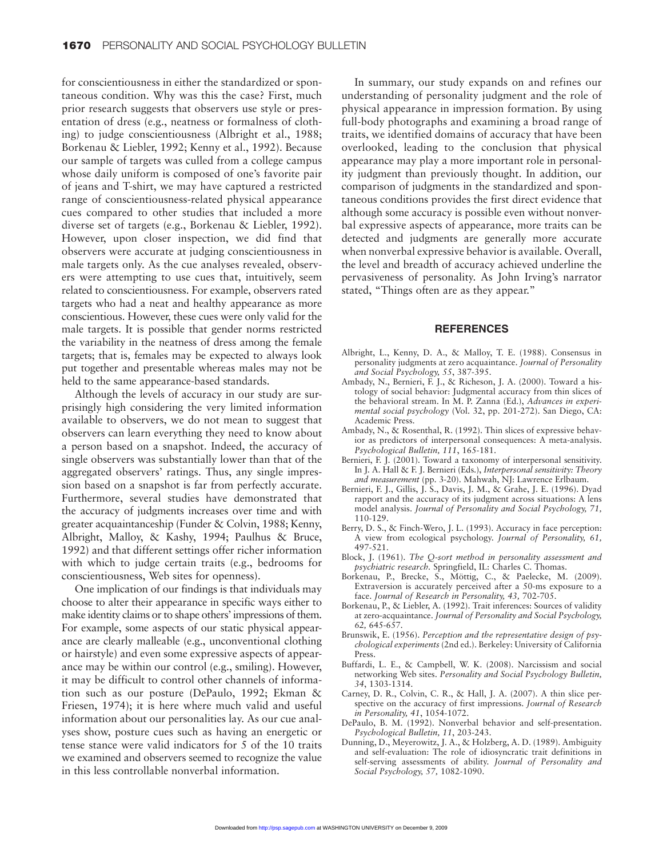for conscientiousness in either the standardized or spontaneous condition. Why was this the case? First, much prior research suggests that observers use style or presentation of dress (e.g., neatness or formalness of clothing) to judge conscientiousness (Albright et al., 1988; Borkenau & Liebler, 1992; Kenny et al., 1992). Because our sample of targets was culled from a college campus whose daily uniform is composed of one's favorite pair of jeans and T-shirt, we may have captured a restricted range of conscientiousness-related physical appearance cues compared to other studies that included a more diverse set of targets (e.g., Borkenau & Liebler, 1992). However, upon closer inspection, we did find that observers were accurate at judging conscientiousness in male targets only. As the cue analyses revealed, observers were attempting to use cues that, intuitively, seem related to conscientiousness. For example, observers rated targets who had a neat and healthy appearance as more conscientious. However, these cues were only valid for the male targets. It is possible that gender norms restricted the variability in the neatness of dress among the female targets; that is, females may be expected to always look put together and presentable whereas males may not be held to the same appearance-based standards.

Although the levels of accuracy in our study are surprisingly high considering the very limited information available to observers, we do not mean to suggest that observers can learn everything they need to know about a person based on a snapshot. Indeed, the accuracy of single observers was substantially lower than that of the aggregated observers' ratings. Thus, any single impression based on a snapshot is far from perfectly accurate. Furthermore, several studies have demonstrated that the accuracy of judgments increases over time and with greater acquaintanceship (Funder & Colvin, 1988; Kenny, Albright, Malloy, & Kashy, 1994; Paulhus & Bruce, 1992) and that different settings offer richer information with which to judge certain traits (e.g., bedrooms for conscientiousness, Web sites for openness).

One implication of our findings is that individuals may choose to alter their appearance in specific ways either to make identity claims or to shape others' impressions of them. For example, some aspects of our static physical appearance are clearly malleable (e.g., unconventional clothing or hairstyle) and even some expressive aspects of appearance may be within our control (e.g., smiling). However, it may be difficult to control other channels of information such as our posture (DePaulo, 1992; Ekman & Friesen, 1974); it is here where much valid and useful information about our personalities lay. As our cue analyses show, posture cues such as having an energetic or tense stance were valid indicators for 5 of the 10 traits we examined and observers seemed to recognize the value in this less controllable nonverbal information.

In summary, our study expands on and refines our understanding of personality judgment and the role of physical appearance in impression formation. By using full-body photographs and examining a broad range of traits, we identified domains of accuracy that have been overlooked, leading to the conclusion that physical appearance may play a more important role in personality judgment than previously thought. In addition, our comparison of judgments in the standardized and spontaneous conditions provides the first direct evidence that although some accuracy is possible even without nonverbal expressive aspects of appearance, more traits can be detected and judgments are generally more accurate when nonverbal expressive behavior is available. Overall, the level and breadth of accuracy achieved underline the pervasiveness of personality. As John Irving's narrator stated, "Things often are as they appear."

#### **REFERENCES**

- Albright, L., Kenny, D. A., & Malloy, T. E. (1988). Consensus in personality judgments at zero acquaintance. *Journal of Personality and Social Psychology, 55*, 387-395.
- Ambady, N., Bernieri, F. J., & Richeson, J. A. (2000). Toward a histology of social behavior: Judgmental accuracy from thin slices of the behavioral stream. In M. P. Zanna (Ed.), *Advances in experimental social psychology* (Vol. 32, pp. 201-272). San Diego, CA: Academic Press.
- Ambady, N., & Rosenthal, R. (1992). Thin slices of expressive behavior as predictors of interpersonal consequences: A meta-analysis. *Psychological Bulletin, 111*, 165-181.
- Bernieri, F. J. (2001). Toward a taxonomy of interpersonal sensitivity. In J. A. Hall & F. J. Bernieri (Eds.), *Interpersonal sensitivity: Theory and measurement* (pp. 3-20). Mahwah, NJ: Lawrence Erlbaum.
- Bernieri, F. J., Gillis, J. S., Davis, J. M., & Grahe, J. E. (1996). Dyad rapport and the accuracy of its judgment across situations: A lens model analysis. *Journal of Personality and Social Psychology, 71,*  110-129.
- Berry, D. S., & Finch-Wero, J. L. (1993). Accuracy in face perception: A view from ecological psychology. *Journal of Personality, 61,* 497-521.
- Block, J. (1961). *The Q-sort method in personality assessment and psychiatric research.* Springfield, IL: Charles C. Thomas.
- Borkenau, P., Brecke, S., Möttig, C., & Paelecke, M. (2009). Extraversion is accurately perceived after a 50-ms exposure to a face. *Journal of Research in Personality, 43,* 702-705.
- Borkenau, P., & Liebler, A. (1992). Trait inferences: Sources of validity at zero-acquaintance. *Journal of Personality and Social Psychology, 62,* 645-657.
- Brunswik, E. (1956). *Perception and the representative design of psychological experiments* (2nd ed.). Berkeley: University of California Press.
- Buffardi, L. E., & Campbell, W. K. (2008). Narcissism and social networking Web sites. *Personality and Social Psychology Bulletin, 34*, 1303-1314.
- Carney, D. R., Colvin, C. R., & Hall, J. A. (2007). A thin slice perspective on the accuracy of first impressions. *Journal of Research in Personality, 41*, 1054-1072.
- DePaulo, B. M. (1992). Nonverbal behavior and self-presentation. *Psychological Bulletin, 11*, 203-243.
- Dunning, D., Meyerowitz, J. A., & Holzberg, A. D. (1989). Ambiguity and self-evaluation: The role of idiosyncratic trait definitions in self-serving assessments of ability. *Journal of Personality and Social Psychology, 57,* 1082-1090.